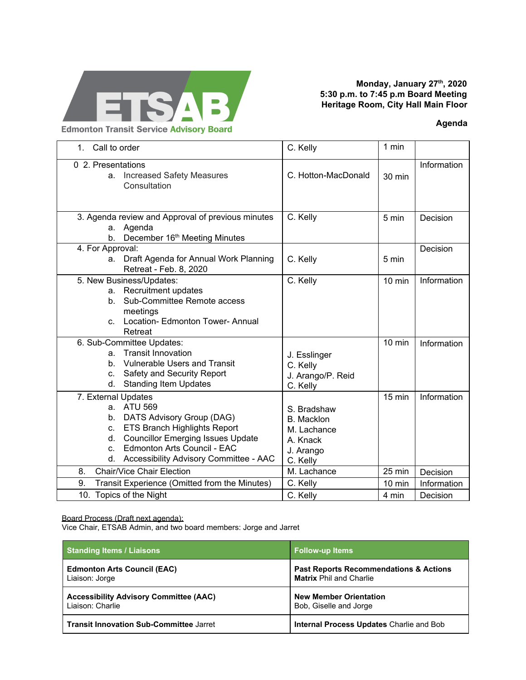

## **Monday, January 27th, 2020 5:30 p.m. to 7:45 p.m Board Meeting Heritage Room, City Hall Main Floor**

## **Agenda**

1. Call to order C. Kelly 1 min 0 2. Presentations a. Increased Safety Measures **Consultation** C. Hotton-MacDonald  $\frac{1}{30}$  min Information 3. Agenda review and Approval of previous minutes a. Agenda b. December 16<sup>th</sup> Meeting Minutes C. Kelly  $\vert$  5 min Decision 4. For Approval: a. Draft Agenda for Annual Work Planning Retreat - Feb. 8, 2020 C. Kelly 5 min Decision 5. New Business/Updates: a. Recruitment updates b. Sub-Committee Remote access meetings c. Location- Edmonton Tower- Annual Retreat C. Kelly and Information 6. Sub-Committee Updates: a. Transit Innovation b. Vulnerable Users and Transit c. Safety and Security Report d. Standing Item Updates J. Esslinger C. Kelly J. Arango/P. Reid C. Kelly 10 min | Information 7. External Updates a. ATU 569 b. DATS Advisory Group (DAG) c. ETS Branch Highlights Report d. Councillor Emerging Issues Update c. Edmonton Arts Council - EAC d. Accessibility Advisory Committee - AAC S. Bradshaw B. Macklon M. Lachance A. Knack J. Arango C. Kelly 15 min | Information 8. Chair/Vice Chair Election M. Lachance 25 min Decision 9. Transit Experience (Omitted from the Minutes) C. Kelly | 10 min | Information 10. Topics of the Night **C. Kelly** C. Kelly **4 min** Decision

Board Process (Draft next agenda):

Vice Chair, ETSAB Admin, and two board members: Jorge and Jarret

| <b>Standing Items / Liaisons</b>               | <b>Follow-up Items</b>                            |
|------------------------------------------------|---------------------------------------------------|
| <b>Edmonton Arts Council (EAC)</b>             | <b>Past Reports Recommendations &amp; Actions</b> |
| Liaison: Jorge                                 | <b>Matrix Phil and Charlie</b>                    |
| <b>Accessibility Advisory Committee (AAC)</b>  | <b>New Member Orientation</b>                     |
| Liaison: Charlie                               | Bob, Giselle and Jorge                            |
| <b>Transit Innovation Sub-Committee Jarret</b> | <b>Internal Process Updates Charlie and Bob</b>   |